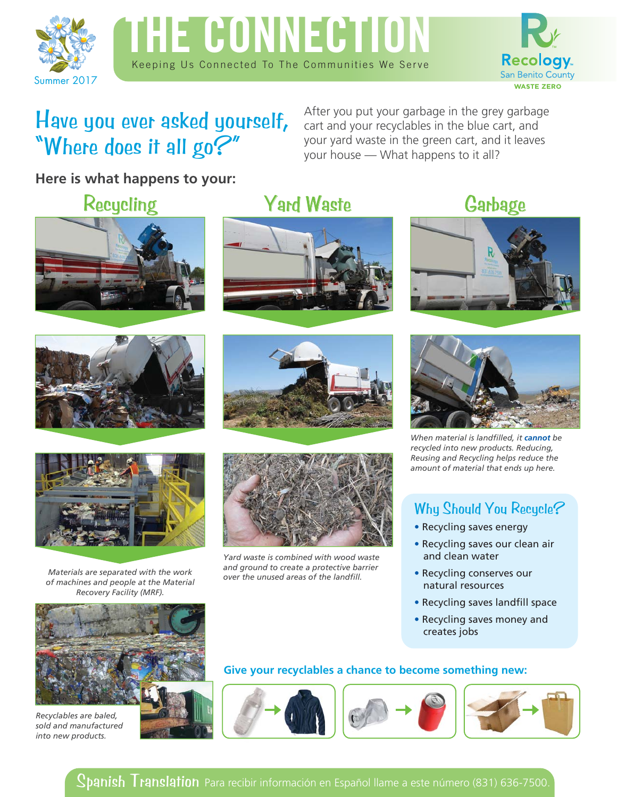





### Have you ever asked yourself, "Where does it all go?"

After you put your garbage in the grey garbage cart and your recyclables in the blue cart, and your yard waste in the green cart, and it leaves your house — What happens to it all?

**Here is what happens to your:** 







*Materials are separated with the work of machines and people at the Material Recovery Facility (MRF).*



*Recyclables are baled, sold and manufactured into new products.*



# Recycling Yard Waste Garbage







*Yard waste is combined with wood waste and ground to create a protective barrier over the unused areas of the landfill.* 





*When material is landfilled, it cannot be recycled into new products. Reducing, Reusing and Recycling helps reduce the amount of material that ends up here.*

### Why Should You Recycle?

- Recycling saves energy
- Recycling saves our clean air and clean water
- Recycling conserves our natural resources
- Recycling saves landfill space
- Recycling saves money and creates jobs

#### **Give your recyclables a chance to become something new:**



Spanish Translation Para recibir información en Español llame a este número (831) 636-7500.